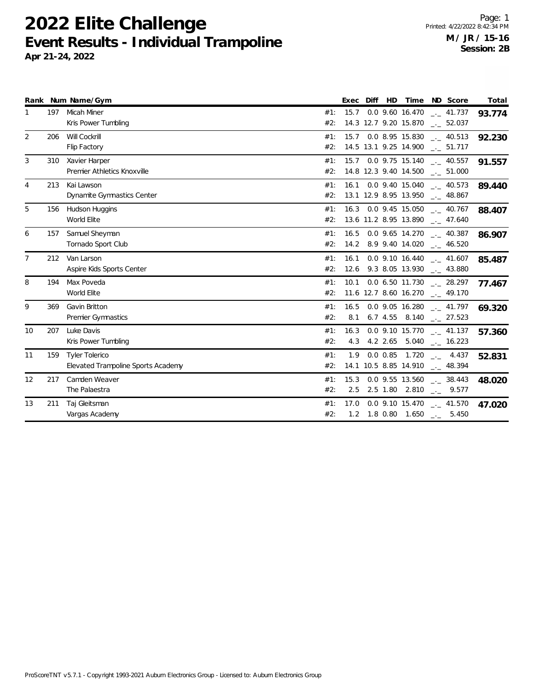**2022 Elite Challenge Event Results - Individual Trampoline Apr 21-24, 2022**

|                 |     | Rank Num Name/Gym                                           |            |             | Exec Diff HD |  | Time ND Score                                                                          | Total  |
|-----------------|-----|-------------------------------------------------------------|------------|-------------|--------------|--|----------------------------------------------------------------------------------------|--------|
| 1               | 197 | <b>Micah Miner</b><br>Kris Power Tumbling                   | #1:<br>#2: | 15.7        |              |  | $0.0$ 9.60 16.470 $\frac{1}{2}$ 41.737<br>14.3 12.7 9.20 15.870 __ 52.037              | 93.774 |
| 2               | 206 | Will Cockrill<br>Flip Factory                               | #1:<br>#2: |             |              |  | 15.7 0.0 8.95 15.830 $\text{---}$ 40.513<br>14.5 13.1 9.25 14.900 __ 51.717            | 92.230 |
| 3               | 310 | Xavier Harper<br>Premier Athletics Knoxville                | #1:<br>#2: |             |              |  | 15.7 0.0 9.75 15.140 __ 40.557<br>14.8 12.3 9.40 14.500 __ 51.000                      | 91.557 |
| 4               | 213 | Kai Lawson<br>Dynamite Gymnastics Center                    | #1:<br>#2: |             |              |  | 16.1 0.0 9.40 15.040 $\frac{1}{2}$ 40.573<br>13.1 12.9 8.95 13.950 __ 48.867           | 89.440 |
| 5               | 156 | Hudson Huggins<br>World Elite                               | #1:<br>#2: |             |              |  | 16.3 0.0 9.45 15.050 . 40.767<br>13.6 11.2 8.95 13.890 __ 47.640                       | 88.407 |
| 6               | 157 | Samuel Sheyman<br>Tornado Sport Club                        | #1:<br>#2: |             |              |  | $16.5$ 0.0 9.65 14.270 $\ldots$ 40.387<br>14.2 8.9 9.40 14.020 $-$ 46.520              | 86.907 |
| $7\overline{ }$ | 212 | Van Larson<br>Aspire Kids Sports Center                     | #1:<br>#2: |             |              |  | 16.1 0.0 9.10 16.440 $\frac{1}{2}$ 41.607<br>12.6 9.3 8.05 13.930 ___ 43.880           | 85.487 |
| 8               | 194 | Max Poveda<br>World Elite                                   | #1:<br>#2: | 10.1        |              |  | 0.0 6.50 11.730 . 28.297<br>$11.6$ 12.7 8.60 16.270 $\ldots$ 49.170                    | 77.467 |
| 9               | 369 | Gavin Britton<br>Premier Gymnastics                         | #1:<br>#2: |             |              |  | 16.5 0.0 9.05 16.280 $\frac{1}{2}$ 41.797<br>8.1 6.7 4.55 8.140 $_{\leftarrow}$ 27.523 | 69.320 |
| 10              | 207 | Luke Davis<br>Kris Power Tumbling                           | #1:<br>#2: | 16.3<br>4.3 |              |  | 0.0 9.10 15.770 . 41.137<br>4.2 2.65 5.040 $\frac{1}{2}$ 16.223                        | 57.360 |
| 11              | 159 | <b>Tyler Tolerico</b><br>Elevated Trampoline Sports Academy | #1:<br>#2: | 1.9         |              |  | 0.0 0.85 1.720 $\qquad$ 4.437<br>14.1 10.5 8.85 14.910 $\frac{1}{2}$ 48.394            | 52.831 |
| 12              | 217 | Camden Weaver<br>The Palaestra                              | #1:<br>#2: | 15.3<br>2.5 |              |  | 0.0 9.55 13.560 . 38.443<br>2.5 1.80 2.810 $\frac{1}{2}$ 9.577                         | 48.020 |
| 13              | 211 | Taj Gleitsman<br>Vargas Academy                             | #1:<br>#2: | 17.0        |              |  | $0.0$ 9.10 15.470 $\ldots$ 41.570<br>1.2  1.8  0.80  1.650 $\qquad \qquad -5.450$      | 47.020 |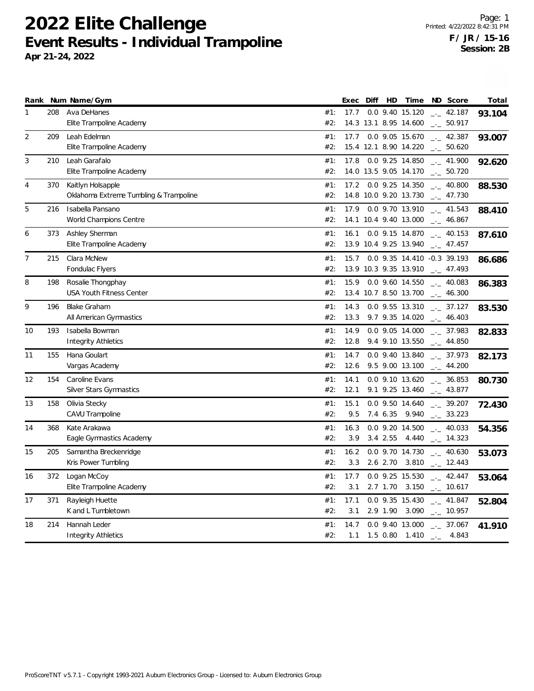## **2022 Elite Challenge Event Results - Individual Trampoline Apr 21-24, 2022**

|                |     | Rank Num Name/Gym                      |     | Exec | Diff | HD       | Time                  | ND Score                    | Total  |
|----------------|-----|----------------------------------------|-----|------|------|----------|-----------------------|-----------------------------|--------|
| 1              | 208 | Ava DeHanes                            | #1: | 17.7 |      |          | 0.0 9.40 15.120       | $-2.187$                    | 93.104 |
|                |     | Elite Trampoline Academy               | #2: |      |      |          | 14.3 13.1 8.95 14.600 | $-2$ 50.917                 |        |
| $\overline{2}$ | 209 | Leah Edelman                           | #1: | 17.7 |      |          | 0.0 9.05 15.670       | $-2$ 42.387                 | 93.007 |
|                |     | Elite Trampoline Academy               | #2: |      |      |          | 15.4 12.1 8.90 14.220 | $-2$ 50.620                 |        |
| 3              | 210 | Leah Garafalo                          | #1: | 17.8 |      |          | 0.0 9.25 14.850       | $-1$ 41.900                 | 92.620 |
|                |     | Elite Trampoline Academy               | #2: |      |      |          | 14.0 13.5 9.05 14.170 | $\frac{1}{2}$ 50.720        |        |
| 4              | 370 | Kaitlyn Holsapple                      | #1: |      |      |          | 17.2 0.0 9.25 14.350  | $\frac{1}{2}$ 40.800        | 88.530 |
|                |     | Oklahoma Extreme Tumbling & Trampoline | #2: |      |      |          | 14.8 10.0 9.20 13.730 | $-1$ 47.730                 |        |
| 5              | 216 | Isabella Pansano                       | #1: |      |      |          | 17.9 0.0 9.70 13.910  | $\frac{1}{2}$ 41.543        | 88.410 |
|                |     | World Champions Centre                 | #2: |      |      |          | 14.1 10.4 9.40 13.000 | $\frac{1}{2}$ 46.867        |        |
| 6              | 373 | Ashley Sherman                         | #1: | 16.1 |      |          | 0.0 9.15 14.870       | $\frac{1}{2}$ 40.153        | 87.610 |
|                |     | Elite Trampoline Academy               | #2: |      |      |          | 13.9 10.4 9.25 13.940 | $- 47.457$                  |        |
| 7              | 215 | Clara McNew                            | #1: | 15.7 |      |          |                       | 0.0 9.35 14.410 -0.3 39.193 | 86.686 |
|                |     | Fondulac Flyers                        | #2: |      |      |          | 13.9 10.3 9.35 13.910 | $\frac{1}{2}$ 47.493        |        |
| 8              | 198 | Rosalie Thongphay                      | #1: | 15.9 |      |          | 0.0 9.60 14.550       | $-1$ 40.083                 | 86.383 |
|                |     | <b>USA Youth Fitness Center</b>        | #2: |      |      |          | 13.4 10.7 8.50 13.700 | $-2$ 46.300                 |        |
| 9              | 196 | <b>Blake Graham</b>                    | #1: | 14.3 |      |          | 0.0 9.55 13.310       | $-2$ 37.127                 | 83.530 |
|                |     | All American Gymnastics                | #2: | 13.3 |      |          | 9.7 9.35 14.020       | $- - 46.403$                |        |
| 10             | 193 | Isabella Bowman                        | #1: | 14.9 |      |          | 0.0 9.05 14.000       | $-2$ 37.983                 | 82.833 |
|                |     | <b>Integrity Athletics</b>             | #2: | 12.8 |      |          | 9.4 9.10 13.550       | $\frac{1}{2}$ 44.850        |        |
| 11             | 155 | Hana Goulart                           | #1: | 14.7 |      |          | 0.0 9.40 13.840       | $-2$ 37.973                 | 82.173 |
|                |     | Vargas Academy                         | #2: | 12.6 |      |          | 9.5 9.00 13.100       | $-2$ 44.200                 |        |
| 12             | 154 | Caroline Evans                         | #1: | 14.1 |      |          | 0.0 9.10 13.620       | $-2.36.853$                 | 80.730 |
|                |     | Silver Stars Gymnastics                | #2: | 12.1 |      |          | 9.1 9.25 13.460       | $\frac{1}{2}$ 43.877        |        |
| 13             | 158 | Olivia Stecky                          | #1: | 15.1 |      |          | 0.0 9.50 14.640       | $\frac{1}{2}$ 39.207        | 72.430 |
|                |     | CAVU Trampoline                        | #2: | 9.5  |      |          | 7.4 6.35 9.940        | $\frac{1}{2}$ 33.223        |        |
| 14             | 368 | Kate Arakawa                           | #1: | 16.3 |      |          | 0.0 9.20 14.500       | $\frac{1}{2}$ 40.033        | 54.356 |
|                |     | Eagle Gymnastics Academy               | #2: | 3.9  |      |          | 3.4 2.55 4.440        | $-14.323$                   |        |
| 15             | 205 | Samantha Breckenridge                  | #1: | 16.2 |      |          | 0.0 9.70 14.730       | $-2$ 40.630                 | 53.073 |
|                |     | Kris Power Tumbling                    | #2: | 3.3  |      |          | 2.6 2.70 3.810        | $-12.443$                   |        |
| 16             | 372 | Logan McCoy                            | #1: | 17.7 |      |          | 0.0 9.25 15.530       | $-2$ 42.447                 | 53.064 |
|                |     | Elite Trampoline Academy               | #2: | 3.1  |      |          | 2.7 1.70 3.150        | $-10.617$                   |        |
| 17             | 371 | Rayleigh Huette                        | #1: | 17.1 |      |          | 0.0 9.35 15.430       | $-$ 41.847                  | 52.804 |
|                |     | K and L Tumbletown                     | #2: | 3.1  |      | 2.9 1.90 | 3.090                 | $-10.957$                   |        |
| 18             | 214 | Hannah Leder                           | #1: | 14.7 |      |          | 0.0 9.40 13.000       | $\frac{1}{2}$ 37.067        | 41.910 |
|                |     | Integrity Athletics                    | #2: | 1.1  |      |          | 1.5 0.80 1.410        | 4.843<br>$-1$               |        |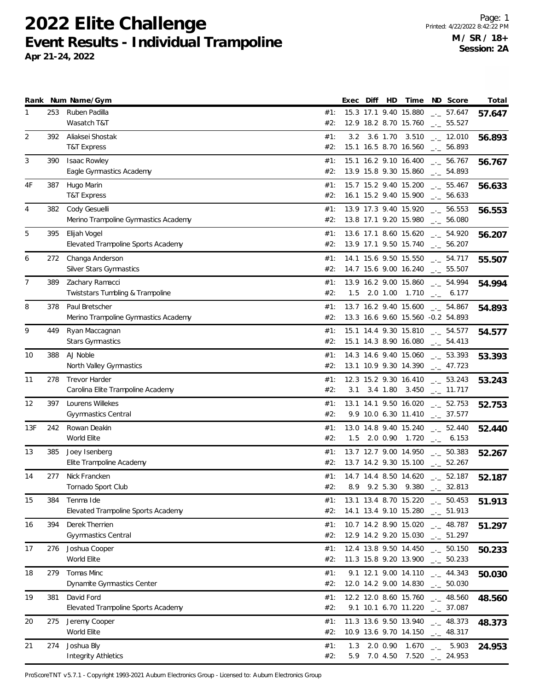**2022 Elite Challenge Event Results - Individual Trampoline**

**Apr 21-24, 2022**

|                |     | Rank Num Name/Gym                                         |            | Exec | Diff | HD | Time                                           | ND Score                                                              | Total  |
|----------------|-----|-----------------------------------------------------------|------------|------|------|----|------------------------------------------------|-----------------------------------------------------------------------|--------|
| 1              | 253 | Ruben Padilla<br>Wasatch T&T                              | #1:<br>#2: |      |      |    | 15.3 17.1 9.40 15.880<br>12.9 18.2 8.70 15.760 | $\frac{1}{2}$ 57.647<br>$-2$ 55.527                                   | 57.647 |
| $\overline{2}$ | 392 | Aliaksei Shostak<br><b>T&amp;T Express</b>                | #1:<br>#2: | 3.2  |      |    | 3.6 1.70 3.510<br>15.1 16.5 8.70 16.560        | $\frac{1}{2}$ 12.010<br>$\frac{1}{2}$ 56.893                          | 56.893 |
| 3              | 390 | <b>Isaac Rowley</b><br>Eagle Gymnastics Academy           | #1:<br>#2: |      |      |    | 15.1 16.2 9.10 16.400<br>13.9 15.8 9.30 15.860 | $\frac{1}{2}$ 56.767<br>$\frac{1}{2}$ 54.893                          | 56.767 |
| 4F             | 387 | Hugo Marin<br><b>T&amp;T Express</b>                      | #1:<br>#2: |      |      |    | 15.7 15.2 9.40 15.200<br>16.1 15.2 9.40 15.900 | $\frac{1}{2}$ 55.467<br>$\frac{1}{2}$ 56.633                          | 56.633 |
| 4              | 382 | Cody Gesuelli<br>Merino Trampoline Gymnastics Academy     | #1:<br>#2: |      |      |    | 13.9 17.3 9.40 15.920<br>13.8 17.1 9.20 15.980 | $\frac{1}{2}$ 56.553<br>$\frac{1}{2}$ 56.080                          | 56.553 |
| 5              | 395 | Elijah Vogel<br>Elevated Trampoline Sports Academy        | #1:<br>#2: |      |      |    | 13.6 17.1 8.60 15.620<br>13.9 17.1 9.50 15.740 | $-2$ 54.920<br>$\frac{1}{2}$ 56.207                                   | 56.207 |
| 6              | 272 | Changa Anderson<br>Silver Stars Gymnastics                | #1:<br>#2: |      |      |    | 14.1 15.6 9.50 15.550<br>14.7 15.6 9.00 16.240 | $\frac{1}{2}$ 54.717<br>$\frac{1}{2}$ 55.507                          | 55.507 |
| $\overline{7}$ | 389 | Zachary Ramacci<br>Twiststars Tumbling & Trampoline       | #1:<br>#2: |      |      |    | 13.9 16.2 9.00 15.860<br>1.5 2.0 1.00 1.710    | $-2$ 54.994<br>6.177<br>$-1$                                          | 54.994 |
| 8              | 378 | Paul Bretscher<br>Merino Trampoline Gymnastics Academy    | #1:<br>#2: |      |      |    | 13.7 16.2 9.40 15.600                          | $_{\rm --}$ 54.867<br>13.3 16.6 9.60 15.560 -0.2 54.893               | 54.893 |
| 9              | 449 | Ryan Maccagnan<br><b>Stars Gymnastics</b>                 | #1:<br>#2: |      |      |    | 15.1 14.4 9.30 15.810                          | $-$ 54.577<br>$15.1$ 14.3 8.90 16.080 $\_\_$ 54.413                   | 54.577 |
| 10             | 388 | AJ Noble<br>North Valley Gymnastics                       | #1:<br>#2: |      |      |    | 13.1 10.9 9.30 14.390                          | 14.3 14.6 9.40 15.060 $\qquad \qquad -53.393$<br>$\frac{1}{2}$ 47.723 | 53.393 |
| 11             | 278 | <b>Trevor Harder</b><br>Carolina Elite Trampoline Academy | #1:<br>#2: |      |      |    | 12.3 15.2 9.30 16.410<br>3.1 3.4 1.80 3.450    | $\sim$ 53.243<br>$\sim$ 11.717                                        | 53.243 |
| 12             | 397 | Lourens Willekes<br>Gyymnastics Central                   | #1:<br>#2: |      |      |    | 13.1 14.1 9.50 16.020                          | $\frac{1}{2}$ 52.753<br>9.9 10.0 6.30 11.410 $\qquad \qquad -2.577$   | 52.753 |
| 13F            | 242 | Rowan Deakin<br>World Elite                               | #1:<br>#2: | 1.5  |      |    | 13.0 14.8 9.40 15.240<br>2.0 0.90 1.720        | $\frac{1}{2}$ 52.440<br>$-$ 6.153                                     | 52.440 |
| 13             | 385 | Joey Isenberg<br>Elite Trampoline Academy                 | #1:<br>#2: |      |      |    | 13.7 12.7 9.00 14.950                          | $\frac{1}{2}$ 50.383<br>13.7 14.2 9.30 15.100 $\qquad \qquad -52.267$ | 52.267 |
| 14             | 277 | Nick Francken<br>Tornado Sport Club                       | #1:<br>#2: |      |      |    | 8.9 9.2 5.30 9.380                             | 14.7 14.4 8.50 14.620 $\frac{1}{2}$ 52.187<br>$\frac{1}{2}$ 32.813    | 52.187 |
| 15             | 384 | Tenma Ide<br>Elevated Trampoline Sports Academy           | #1:<br>#2: |      |      |    | 14.1 13.4 9.10 15.280                          | 13.1 13.4 8.70 15.220 __ 50.453<br>$\frac{1}{2}$ 51.913               | 51.913 |
| 16             | 394 | Derek Therrien<br>Gyymnastics Central                     | #1:<br>#2: |      |      |    | 10.7 14.2 8.90 15.020<br>12.9 14.2 9.20 15.030 | $\frac{1}{2}$ 48.787<br>$\frac{1}{2}$ 51.297                          | 51.297 |
| 17             | 276 | Joshua Cooper<br>World Elite                              | #1:<br>#2: |      |      |    | 12.4 13.8 9.50 14.450<br>11.3 15.8 9.20 13.900 | $\frac{1}{2}$ 50.150<br>$\frac{1}{2}$ 50.233                          | 50.233 |
| 18             | 279 | Tomas Minc<br>Dynamite Gymnastics Center                  | #1:<br>#2: |      |      |    | 9.1 12.1 9.00 14.110<br>12.0 14.2 9.00 14.830  | $-2$ 44.343<br>$\frac{1}{2}$ 50.030                                   | 50.030 |
| 19             | 381 | David Ford<br>Elevated Trampoline Sports Academy          | #1:<br>#2: |      |      |    | 12.2 12.0 8.60 15.760<br>9.1 10.1 6.70 11.220  | $\frac{1}{2}$ 48.560<br>$\sim$ 37.087                                 | 48.560 |
| 20             | 275 | Jeremy Cooper<br>World Elite                              | #1:<br>#2: |      |      |    | 11.3 13.6 9.50 13.940<br>10.9 13.6 9.70 14.150 | $\frac{1}{2}$ 48.373<br>$\frac{1}{2}$ 48.317                          | 48.373 |
| 21             | 274 | Joshua Bly<br><b>Integrity Athletics</b>                  | #1:<br>#2: | 1.3  |      |    | 2.0 0.90 1.670                                 | $\frac{1}{2}$ .<br>5.903<br>5.9 7.0 4.50 7.520 $-24.953$              | 24.953 |

ProScoreTNT v5.7.1 - Copyright 1993-2021 Auburn Electronics Group - Licensed to: Auburn Electronics Group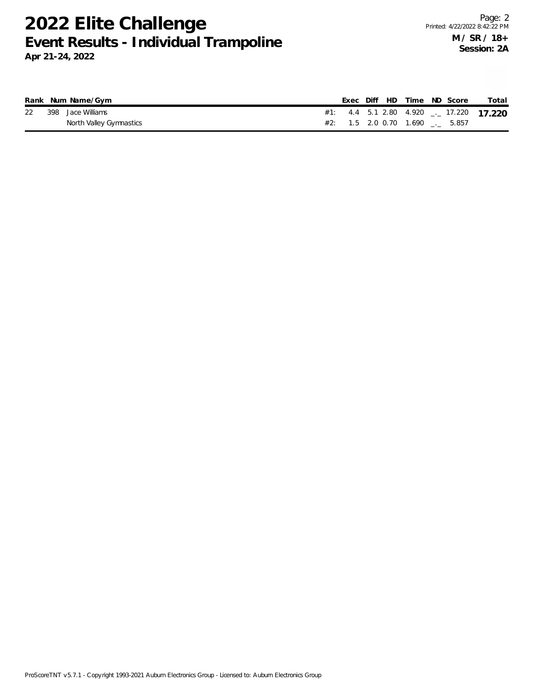## **2022 Elite Challenge Event Results - Individual Trampoline**

|  | Rank Num Name/Gym       |  |  | Exec Diff HD Time ND Score          |  | Total                                    |
|--|-------------------------|--|--|-------------------------------------|--|------------------------------------------|
|  | 22 398 Jace Williams    |  |  |                                     |  | #1: 4.4 5.1 2.80 4.920 $-$ 17.220 17.220 |
|  | North Valley Gymnastics |  |  | $\#2$ : 1.5 2.0 0.70 1.690 __ 5.857 |  |                                          |